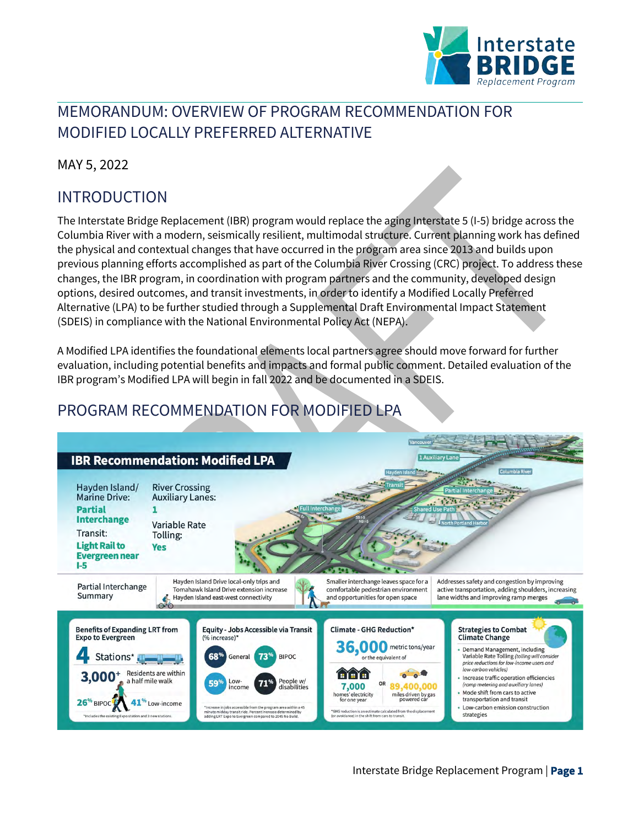

# MEMORANDUM: OVERVIEW OF PROGRAM RECOMMENDATION FOR MODIFIED LOCALLY PREFERRED ALTERNATIVE

MAY 5, 2022

# INTRODUCTION

The Interstate Bridge Replacement (IBR) program would replace the aging Interstate 5 (I-5) bridge across the Columbia River with a modern, seismically resilient, multimodal structure. Current planning work has defined the physical and contextual changes that have occurred in the program area since 2013 and builds upon previous planning efforts accomplished as part of the Columbia River Crossing (CRC) project. To address these changes, the IBR program, in coordination with program partners and the community, developed design options, desired outcomes, and transit investments, in order to identify a Modified Locally Preferred Alternative (LPA) to be further studied through a Supplemental Draft Environmental Impact Statement (SDEIS) in compliance with the National Environmental Policy Act (NEPA).

A Modified LPA identifies the foundational elements local partners agree should move forward for further evaluation, including potential benefits and impacts and formal public comment. Detailed evaluation of the IBR program's Modified LPA will begin in fall 2022 and be documented in a SDEIS.

# PROGRAM RECOMMENDATION FOR MODIFIED LPA

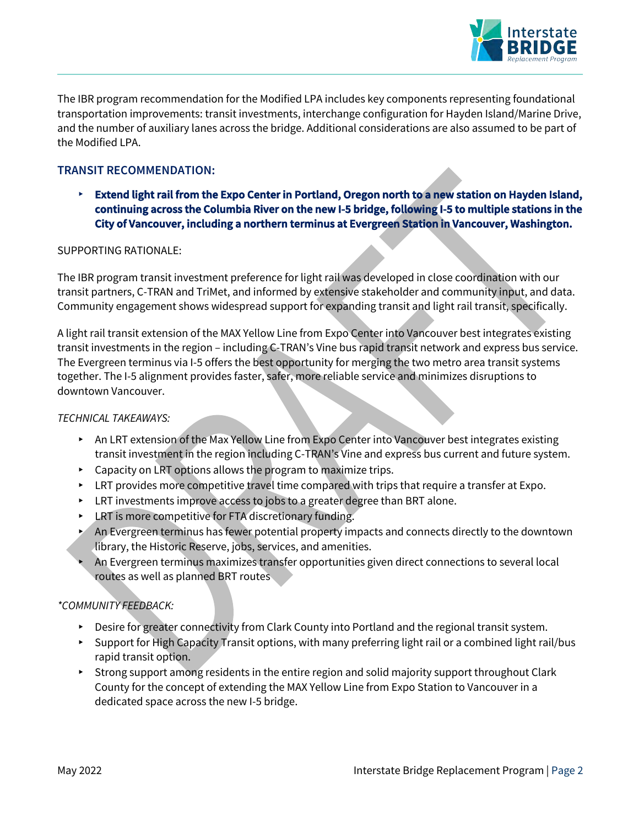

The IBR program recommendation for the Modified LPA includes key components representing foundational transportation improvements: transit investments, interchange configuration for Hayden Island/Marine Drive, and the number of auxiliary lanes across the bridge. Additional considerations are also assumed to be part of the Modified LPA.

#### **TRANSIT RECOMMENDATION:**

▸ **Extend light rail from the Expo Center in Portland, Oregon north to a new station on Hayden Island, continuing across the Columbia River on the new I-5 bridge, following I-5 to multiple stations in the City of Vancouver, including a northern terminus at Evergreen Station in Vancouver, Washington.**

#### SUPPORTING RATIONALE:

The IBR program transit investment preference for light rail was developed in close coordination with our transit partners, C-TRAN and TriMet, and informed by extensive stakeholder and community input, and data. Community engagement shows widespread support for expanding transit and light rail transit, specifically.

A light rail transit extension of the MAX Yellow Line from Expo Center into Vancouver best integrates existing transit investments in the region – including C-TRAN's Vine bus rapid transit network and express bus service. The Evergreen terminus via I-5 offers the best opportunity for merging the two metro area transit systems together. The I-5 alignment provides faster, safer, more reliable service and minimizes disruptions to downtown Vancouver.

#### *TECHNICAL TAKEAWAYS:*

- ▸ An LRT extension of the Max Yellow Line from Expo Center into Vancouver best integrates existing transit investment in the region including C-TRAN's Vine and express bus current and future system.
- ▸ Capacity on LRT options allows the program to maximize trips.
- ▸ LRT provides more competitive travel time compared with trips that require a transfer at Expo.
- $\triangleright$  LRT investments improve access to jobs to a greater degree than BRT alone.
- ▸ LRT is more competitive for FTA discretionary funding.
- ▸ An Evergreen terminus has fewer potential property impacts and connects directly to the downtown library, the Historic Reserve, jobs, services, and amenities.
- An Evergreen terminus maximizes transfer opportunities given direct connections to several local routes as well as planned BRT routes

#### *\*COMMUNITY FEEDBACK:*

- ▸ Desire for greater connectivity from Clark County into Portland and the regional transit system.
- ▸ Support for High Capacity Transit options, with many preferring light rail or a combined light rail/bus rapid transit option.
- ▸ Strong support among residents in the entire region and solid majority support throughout Clark County for the concept of extending the MAX Yellow Line from Expo Station to Vancouver in a dedicated space across the new I-5 bridge.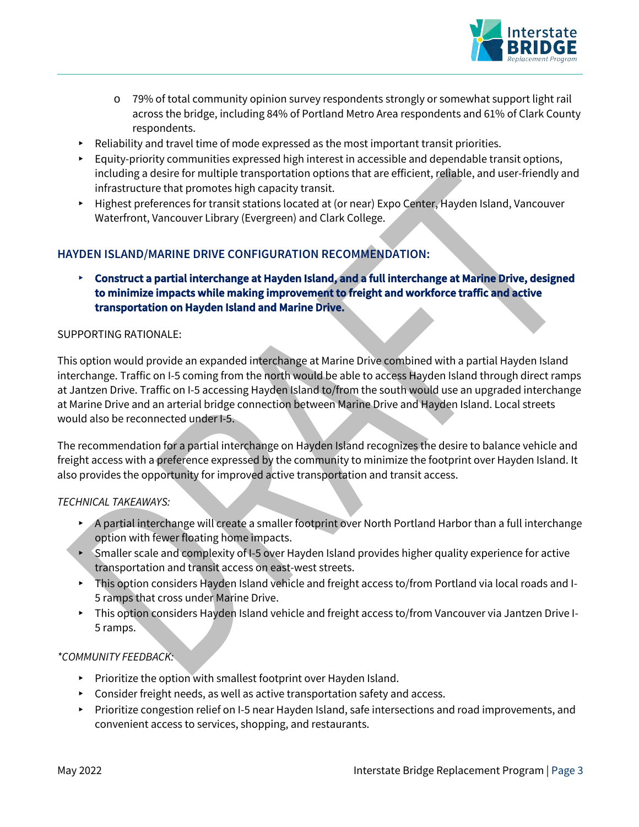

- o 79% of total community opinion survey respondents strongly or somewhat support light rail across the bridge, including 84% of Portland Metro Area respondents and 61% of Clark County respondents.
- ▸ Reliability and travel time of mode expressed as the most important transit priorities.
- ▸ Equity-priority communities expressed high interest in accessible and dependable transit options, including a desire for multiple transportation options that are efficient, reliable, and user-friendly and infrastructure that promotes high capacity transit.
- ▸ Highest preferences for transit stations located at (or near) Expo Center, Hayden Island, Vancouver Waterfront, Vancouver Library (Evergreen) and Clark College.

#### **HAYDEN ISLAND/MARINE DRIVE CONFIGURATION RECOMMENDATION:**

▸ **Construct a partial interchange at Hayden Island, and a full interchange at Marine Drive, designed to minimize impacts while making improvement to freight and workforce traffic and active transportation on Hayden Island and Marine Drive.** 

#### SUPPORTING RATIONALE:

This option would provide an expanded interchange at Marine Drive combined with a partial Hayden Island interchange. Traffic on I-5 coming from the north would be able to access Hayden Island through direct ramps at Jantzen Drive. Traffic on I-5 accessing Hayden Island to/from the south would use an upgraded interchange at Marine Drive and an arterial bridge connection between Marine Drive and Hayden Island. Local streets would also be reconnected under I-5.

The recommendation for a partial interchange on Hayden Island recognizes the desire to balance vehicle and freight access with a preference expressed by the community to minimize the footprint over Hayden Island. It also provides the opportunity for improved active transportation and transit access.

#### *TECHNICAL TAKEAWAYS:*

- ▸ A partial interchange will create a smaller footprint over North Portland Harbor than a full interchange option with fewer floating home impacts.
- ▸ Smaller scale and complexity of I-5 over Hayden Island provides higher quality experience for active transportation and transit access on east-west streets.
- ▸ This option considers Hayden Island vehicle and freight access to/from Portland via local roads and I-5 ramps that cross under Marine Drive.
- ▸ This option considers Hayden Island vehicle and freight access to/from Vancouver via Jantzen Drive I-5 ramps.

#### *\*COMMUNITY FEEDBACK:*

- ▸ Prioritize the option with smallest footprint over Hayden Island.
- ▸ Consider freight needs, as well as active transportation safety and access.
- ▸ Prioritize congestion relief on I-5 near Hayden Island, safe intersections and road improvements, and convenient access to services, shopping, and restaurants.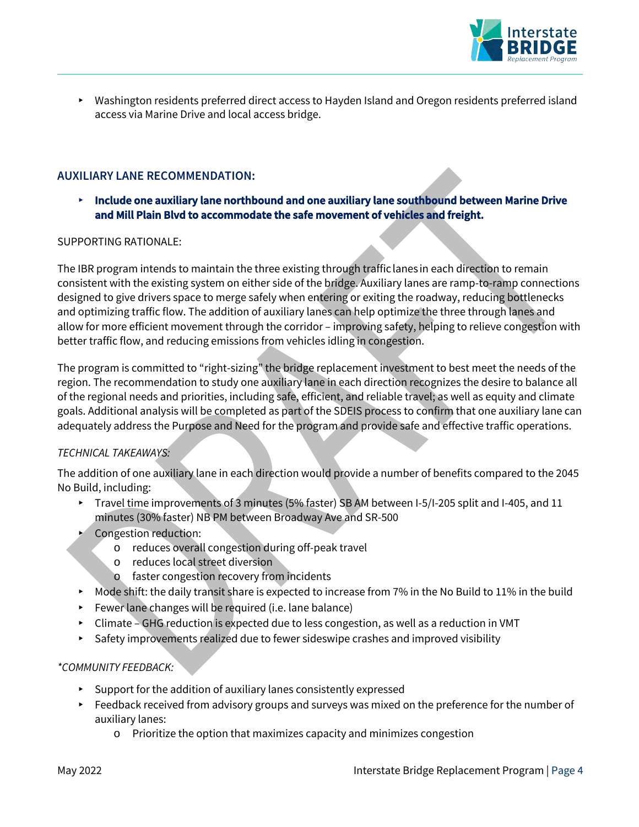

▸ Washington residents preferred direct access to Hayden Island and Oregon residents preferred island access via Marine Drive and local access bridge.

#### **AUXILIARY LANE RECOMMENDATION:**

▸ **Include one auxiliary lane northbound and one auxiliary lane southbound between Marine Drive and Mill Plain Blvd to accommodate the safe movement of vehicles and freight.**

#### SUPPORTING RATIONALE:

The IBR program intends to maintain the three existing through traffic lanes in each direction to remain consistent with the existing system on either side of the bridge. Auxiliary lanes are ramp-to-ramp connections designed to give drivers space to merge safely when entering or exiting the roadway, reducing bottlenecks and optimizing traffic flow. The addition of auxiliary lanes can help optimize the three through lanes and allow for more efficient movement through the corridor – improving safety, helping to relieve congestion with better traffic flow, and reducing emissions from vehicles idling in congestion.

The program is committed to "right-sizing" the bridge replacement investment to best meet the needs of the region. The recommendation to study one auxiliary lane in each direction recognizes the desire to balance all of the regional needs and priorities, including safe, efficient, and reliable travel; as well as equity and climate goals. Additional analysis will be completed as part of the SDEIS process to confirm that one auxiliary lane can adequately address the Purpose and Need for the program and provide safe and effective traffic operations.

#### *TECHNICAL TAKEAWAYS:*

The addition of one auxiliary lane in each direction would provide a number of benefits compared to the 2045 No Build, including:

- ▸ Travel time improvements of 3 minutes (5% faster) SB AM between I-5/I-205 split and I-405, and 11 minutes (30% faster) NB PM between Broadway Ave and SR-500
- Congestion reduction:
	- o reduces overall congestion during off-peak travel
	- o reduces local street diversion
	- o faster congestion recovery from incidents
- ▸ Mode shift: the daily transit share is expected to increase from 7% in the No Build to 11% in the build
- ▸ Fewer lane changes will be required (i.e. lane balance)
- ▸ Climate GHG reduction is expected due to less congestion, as well as a reduction in VMT
- ▸ Safety improvements realized due to fewer sideswipe crashes and improved visibility

#### *\*COMMUNITY FEEDBACK:*

- ▸ Support for the addition of auxiliary lanes consistently expressed
- ▸ Feedback received from advisory groups and surveys was mixed on the preference for the number of auxiliary lanes:
	- o Prioritize the option that maximizes capacity and minimizes congestion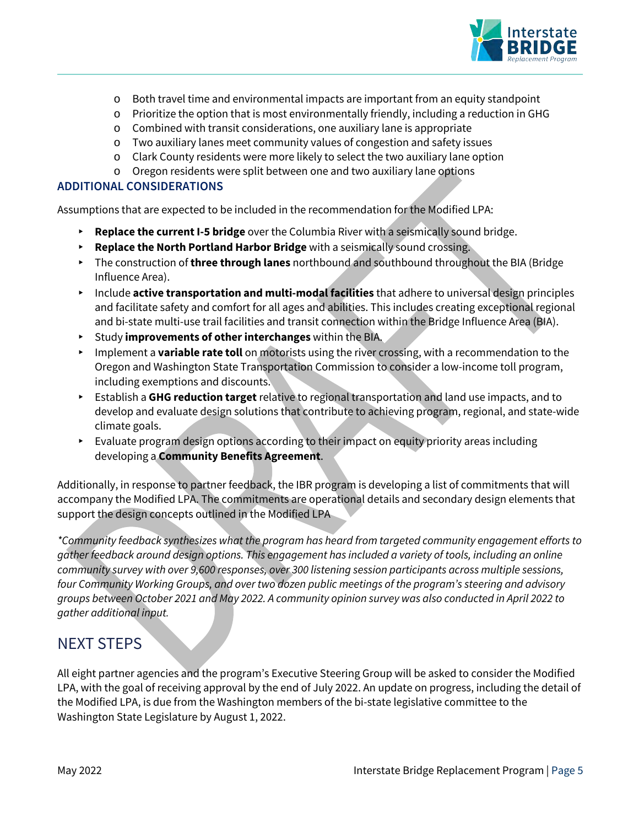

- o Both travel time and environmental impacts are important from an equity standpoint
- o Prioritize the option that is most environmentally friendly, including a reduction in GHG
- o Combined with transit considerations, one auxiliary lane is appropriate
- o Two auxiliary lanes meet community values of congestion and safety issues
- o Clark County residents were more likely to select the two auxiliary lane option
- o Oregon residents were split between one and two auxiliary lane options

#### **ADDITIONAL CONSIDERATIONS**

Assumptions that are expected to be included in the recommendation for the Modified LPA:

- ▸ **Replace the current I-5 bridge** over the Columbia River with a seismically sound bridge.
- ▸ **Replace the North Portland Harbor Bridge** with a seismically sound crossing.
- ▸ The construction of **three through lanes** northbound and southbound throughout the BIA (Bridge Influence Area).
- ▸ Include **active transportation and multi-modal facilities** that adhere to universal design principles and facilitate safety and comfort for all ages and abilities. This includes creating exceptional regional and bi-state multi-use trail facilities and transit connection within the Bridge Influence Area (BIA).
- ▸ Study **improvements of other interchanges** within the BIA.
- ▸ Implement a **variable rate toll** on motorists using the river crossing, with a recommendation to the Oregon and Washington State Transportation Commission to consider a low-income toll program, including exemptions and discounts.
- ▸ Establish a **GHG reduction target** relative to regional transportation and land use impacts, and to develop and evaluate design solutions that contribute to achieving program, regional, and state-wide climate goals.
- ▸ Evaluate program design options according to their impact on equity priority areas including developing a **Community Benefits Agreement**.

Additionally, in response to partner feedback, the IBR program is developing a list of commitments that will accompany the Modified LPA. The commitments are operational details and secondary design elements that support the design concepts outlined in the Modified LPA

*\*Community feedback synthesizes what the program has heard from targeted community engagement efforts to gather feedback around design options. This engagement has included a variety of tools, including an online community survey with over 9,600 responses, over 300 listening session participants across multiple sessions, four Community Working Groups, and over two dozen public meetings of the program's steering and advisory groups between October 2021 and May 2022. A community opinion survey was also conducted in April 2022 to gather additional input.*

### NEXT STEPS

All eight partner agencies and the program's Executive Steering Group will be asked to consider the Modified LPA, with the goal of receiving approval by the end of July 2022. An update on progress, including the detail of the Modified LPA, is due from the Washington members of the bi-state legislative committee to the Washington State Legislature by August 1, 2022.